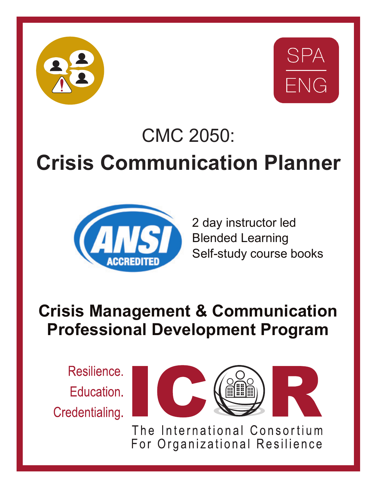



# CMC 2050: **Crisis Communication Planner**



2 day instructor led Blended Learning Self-study course books

# **Crisis Management & Communication Professional Development Program**

Resilience. Education. Credentialing.



The International Consortium For Organizational Resilience